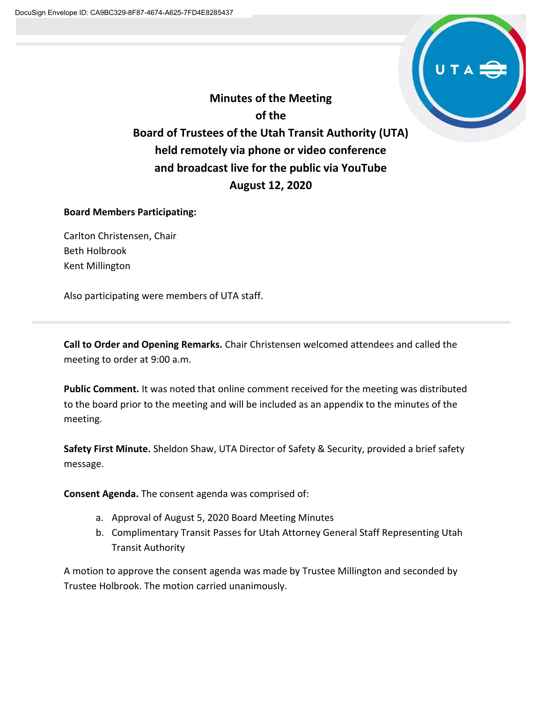

**Minutes of the Meeting of the Board of Trustees of the Utah Transit Authority (UTA) held remotely via phone or video conference and broadcast live for the public via YouTube August 12, 2020**

# **Board Members Participating:**

Carlton Christensen, Chair Beth Holbrook Kent Millington

Also participating were members of UTA staff.

**Call to Order and Opening Remarks.** Chair Christensen welcomed attendees and called the meeting to order at 9:00 a.m.

**Public Comment.** It was noted that online comment received for the meeting was distributed to the board prior to the meeting and will be included as an appendix to the minutes of the meeting.

**Safety First Minute.** Sheldon Shaw, UTA Director of Safety & Security, provided a brief safety message.

**Consent Agenda.** The consent agenda was comprised of:

- a. Approval of August 5, 2020 Board Meeting Minutes
- b. Complimentary Transit Passes for Utah Attorney General Staff Representing Utah Transit Authority

A motion to approve the consent agenda was made by Trustee Millington and seconded by Trustee Holbrook. The motion carried unanimously.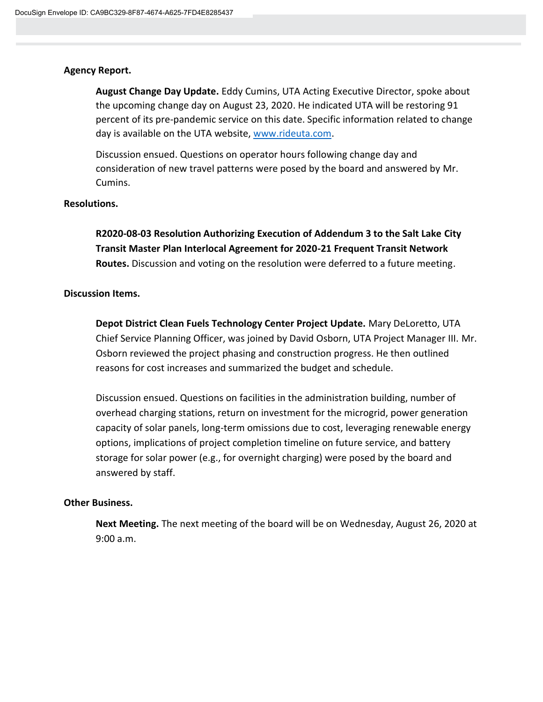#### **Agency Report.**

**August Change Day Update.** Eddy Cumins, UTA Acting Executive Director, spoke about the upcoming change day on August 23, 2020. He indicated UTA will be restoring 91 percent of its pre-pandemic service on this date. Specific information related to change day is available on the UTA website, [www.rideuta.com.](http://www.rideuta.com/)

Discussion ensued. Questions on operator hours following change day and consideration of new travel patterns were posed by the board and answered by Mr. Cumins.

# **Resolutions.**

**R2020-08-03 Resolution Authorizing Execution of Addendum 3 to the Salt Lake City Transit Master Plan Interlocal Agreement for 2020-21 Frequent Transit Network Routes.** Discussion and voting on the resolution were deferred to a future meeting.

#### **Discussion Items.**

**Depot District Clean Fuels Technology Center Project Update.** Mary DeLoretto, UTA Chief Service Planning Officer, was joined by David Osborn, UTA Project Manager III. Mr. Osborn reviewed the project phasing and construction progress. He then outlined reasons for cost increases and summarized the budget and schedule.

Discussion ensued. Questions on facilities in the administration building, number of overhead charging stations, return on investment for the microgrid, power generation capacity of solar panels, long-term omissions due to cost, leveraging renewable energy options, implications of project completion timeline on future service, and battery storage for solar power (e.g., for overnight charging) were posed by the board and answered by staff.

# **Other Business.**

**Next Meeting.** The next meeting of the board will be on Wednesday, August 26, 2020 at 9:00 a.m.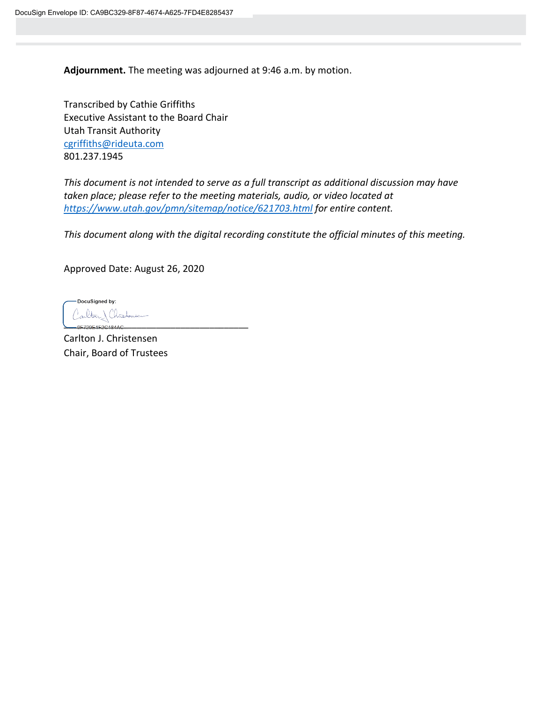**Adjournment.** The meeting was adjourned at 9:46 a.m. by motion.

Transcribed by Cathie Griffiths Executive Assistant to the Board Chair Utah Transit Authority [cgriffiths@rideuta.com](mailto:cgriffiths@rideuta.com) 801.237.1945

*This document is not intended to serve as a full transcript as additional discussion may have taken place; please refer to the meeting materials, audio, or video located at <https://www.utah.gov/pmn/sitemap/notice/621703.html> for entire content.*

*This document along with the digital recording constitute the official minutes of this meeting.*

Approved Date: August 26, 2020

DocuSigned by: Carlton) Christonien \_\_\_\_\_\_\_\_\_\_\_\_\_\_\_\_\_\_\_\_\_\_\_\_\_\_\_\_\_\_\_\_\_\_\_\_\_\_

Carlton J. Christensen Chair, Board of Trustees